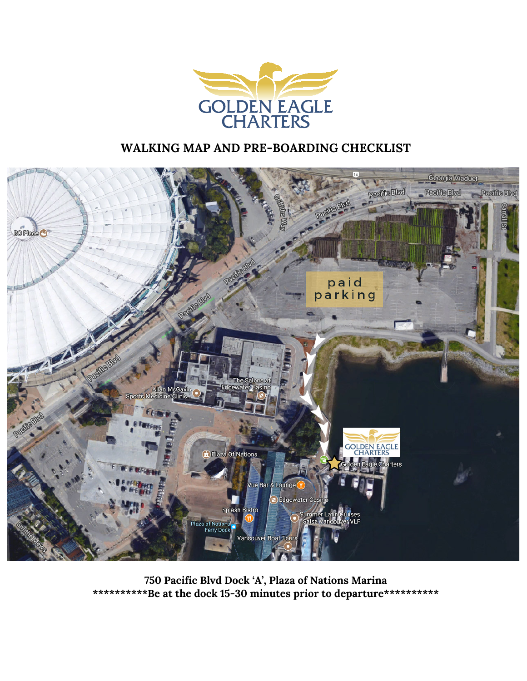

#### **WALKING MAP AND PRE-BOARDING CHECKLIST**



**750 Pacific Blvd Dock 'A', Plaza of Nations Marina \*\*\*\*\*\*\*\*\*\*Be at the dock 15-30 minutes prior to departure\*\*\*\*\*\*\*\*\*\***